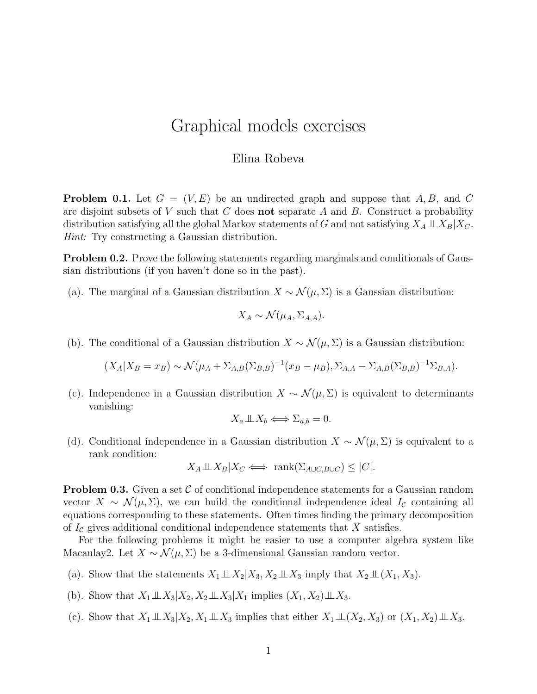## Graphical models exercises

## Elina Robeva

**Problem 0.1.** Let  $G = (V, E)$  be an undirected graph and suppose that A, B, and C are disjoint subsets of  $V$  such that  $C$  does **not** separate  $A$  and  $B$ . Construct a probability distribution satisfying all the global Markov statements of G and not satisfying  $X_A \perp\!\!\!\perp X_B | X_C$ . Hint: Try constructing a Gaussian distribution.

Problem 0.2. Prove the following statements regarding marginals and conditionals of Gaussian distributions (if you haven't done so in the past).

(a). The marginal of a Gaussian distribution  $X \sim \mathcal{N}(\mu, \Sigma)$  is a Gaussian distribution:

$$
X_A \sim \mathcal{N}(\mu_A, \Sigma_{A,A}).
$$

(b). The conditional of a Gaussian distribution  $X \sim \mathcal{N}(\mu, \Sigma)$  is a Gaussian distribution:

$$
(X_A|X_B = x_B) \sim \mathcal{N}(\mu_A + \Sigma_{A,B}(\Sigma_{B,B})^{-1}(x_B - \mu_B), \Sigma_{A,A} - \Sigma_{A,B}(\Sigma_{B,B})^{-1}\Sigma_{B,A}).
$$

(c). Independence in a Gaussian distribution  $X \sim \mathcal{N}(\mu, \Sigma)$  is equivalent to determinants vanishing:

$$
X_a \perp \!\!\! \perp X_b \Longleftrightarrow \Sigma_{a,b} = 0.
$$

(d). Conditional independence in a Gaussian distribution  $X \sim \mathcal{N}(\mu, \Sigma)$  is equivalent to a rank condition:

$$
X_A \perp \!\!\! \perp X_B | X_C \iff \text{rank}(\Sigma_{A \cup C, B \cup C}) \leq |C|.
$$

**Problem 0.3.** Given a set  $\mathcal{C}$  of conditional independence statements for a Gaussian random vector  $X \sim \mathcal{N}(\mu, \Sigma)$ , we can build the conditional independence ideal  $I_c$  containing all equations corresponding to these statements. Often times finding the primary decomposition of  $I_c$  gives additional conditional independence statements that X satisfies.

For the following problems it might be easier to use a computer algebra system like Macaulay2. Let  $X \sim \mathcal{N}(\mu, \Sigma)$  be a 3-dimensional Gaussian random vector.

- (a). Show that the statements  $X_1 \perp\!\!\!\perp X_2 | X_3, X_2 \perp\!\!\!\perp X_3$  imply that  $X_2 \perp\!\!\!\perp (X_1, X_3)$ .
- (b). Show that  $X_1 \perp \!\!\! \perp X_3 | X_2, X_2 \perp \!\!\! \perp X_3 | X_1$  implies  $(X_1, X_2) \perp \!\!\! \perp X_3$ .
- (c). Show that  $X_1 \perp\!\!\!\perp X_3 | X_2, X_1 \perp\!\!\!\perp X_3$  implies that either  $X_1 \perp\!\!\!\perp (X_2, X_3)$  or  $(X_1, X_2) \perp\!\!\!\perp X_3$ .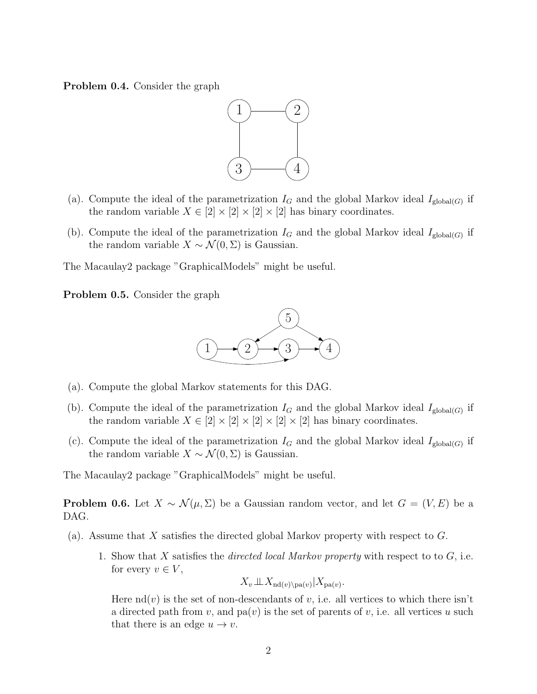Problem 0.4. Consider the graph



- (a). Compute the ideal of the parametrization  $I_G$  and the global Markov ideal  $I_{\text{global}(G)}$  if the random variable  $X \in [2] \times [2] \times [2] \times [2]$  has binary coordinates.
- (b). Compute the ideal of the parametrization  $I_G$  and the global Markov ideal  $I_{\text{global}(G)}$  if the random variable  $X \sim \mathcal{N}(0, \Sigma)$  is Gaussian.

The Macaulay2 package "GraphicalModels" might be useful.

Problem 0.5. Consider the graph



- (a). Compute the global Markov statements for this DAG.
- (b). Compute the ideal of the parametrization  $I_G$  and the global Markov ideal  $I_{\text{global}(G)}$  if the random variable  $X \in [2] \times [2] \times [2] \times [2] \times [2]$  has binary coordinates.
- (c). Compute the ideal of the parametrization  $I_G$  and the global Markov ideal  $I_{\text{global}(G)}$  if the random variable  $X \sim \mathcal{N}(0, \Sigma)$  is Gaussian.

The Macaulay2 package "GraphicalModels" might be useful.

**Problem 0.6.** Let  $X \sim \mathcal{N}(\mu, \Sigma)$  be a Gaussian random vector, and let  $G = (V, E)$  be a DAG.

- (a). Assume that X satisfies the directed global Markov property with respect to G.
	- 1. Show that X satisfies the *directed local Markov property* with respect to to  $G$ , i.e. for every  $v \in V$ ,

$$
X_v \perp\!\!\!\perp X_{\mathrm{nd}(v) \setminus \mathrm{pa}(v)} | X_{\mathrm{pa}(v)}.
$$

Here  $\text{nd}(v)$  is the set of non-descendants of v, i.e. all vertices to which there isn't a directed path from v, and  $pa(v)$  is the set of parents of v, i.e. all vertices u such that there is an edge  $u \to v$ .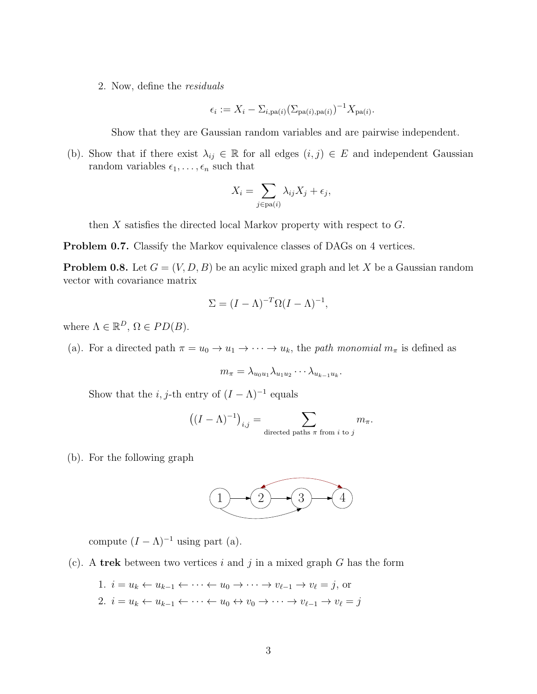2. Now, define the residuals

$$
\epsilon_i := X_i - \Sigma_{i,\text{pa}(i)}(\Sigma_{\text{pa}(i),\text{pa}(i)})^{-1}X_{\text{pa}(i)}.
$$

Show that they are Gaussian random variables and are pairwise independent.

(b). Show that if there exist  $\lambda_{ij} \in \mathbb{R}$  for all edges  $(i, j) \in E$  and independent Gaussian random variables  $\epsilon_1, \ldots, \epsilon_n$  such that

$$
X_i = \sum_{j \in pa(i)} \lambda_{ij} X_j + \epsilon_j,
$$

then X satisfies the directed local Markov property with respect to G.

Problem 0.7. Classify the Markov equivalence classes of DAGs on 4 vertices.

**Problem 0.8.** Let  $G = (V, D, B)$  be an acylic mixed graph and let X be a Gaussian random vector with covariance matrix

$$
\Sigma = (I - \Lambda)^{-T} \Omega (I - \Lambda)^{-1},
$$

where  $\Lambda \in \mathbb{R}^D$ ,  $\Omega \in PD(B)$ .

(a). For a directed path  $\pi = u_0 \to u_1 \to \cdots \to u_k$ , the *path monomial*  $m_{\pi}$  is defined as

$$
m_{\pi} = \lambda_{u_0 u_1} \lambda_{u_1 u_2} \cdots \lambda_{u_{k-1} u_k}.
$$

Show that the *i*, *j*-th entry of  $(I - \Lambda)^{-1}$  equals

$$
((I - \Lambda)^{-1})_{i,j} = \sum_{\text{directed paths } \pi \text{ from } i \text{ to } j} m_{\pi}.
$$

(b). For the following graph



compute  $(I - \Lambda)^{-1}$  using part (a).

(c). A trek between two vertices i and j in a mixed graph  $G$  has the form

1. 
$$
i = u_k \leftarrow u_{k-1} \leftarrow \cdots \leftarrow u_0 \rightarrow \cdots \rightarrow v_{\ell-1} \rightarrow v_{\ell} = j
$$
, or  
\n2.  $i = u_k \leftarrow u_{k-1} \leftarrow \cdots \leftarrow u_0 \leftrightarrow v_0 \rightarrow \cdots \rightarrow v_{\ell-1} \rightarrow v_{\ell} = j$